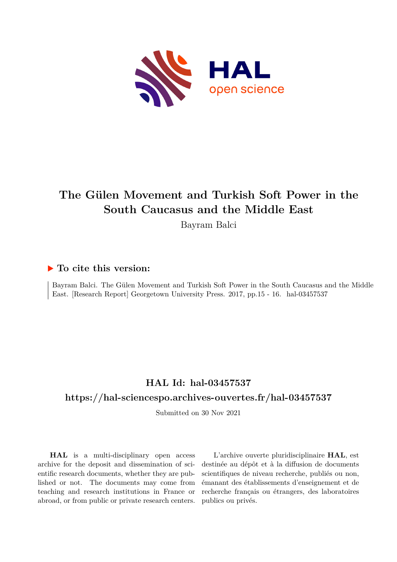

# **The Gülen Movement and Turkish Soft Power in the South Caucasus and the Middle East**

Bayram Balci

### **To cite this version:**

Bayram Balci. The Gülen Movement and Turkish Soft Power in the South Caucasus and the Middle East. [Research Report] Georgetown University Press. 2017, pp.15 - 16. hal-03457537

## **HAL Id: hal-03457537**

### **<https://hal-sciencespo.archives-ouvertes.fr/hal-03457537>**

Submitted on 30 Nov 2021

**HAL** is a multi-disciplinary open access archive for the deposit and dissemination of scientific research documents, whether they are published or not. The documents may come from teaching and research institutions in France or abroad, or from public or private research centers.

L'archive ouverte pluridisciplinaire **HAL**, est destinée au dépôt et à la diffusion de documents scientifiques de niveau recherche, publiés ou non, émanant des établissements d'enseignement et de recherche français ou étrangers, des laboratoires publics ou privés.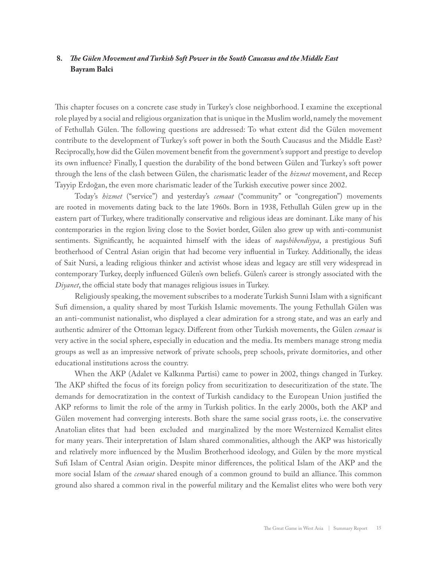#### **8.** *The Gülen Movement and Turkish Soft Power in the South Caucasus and the Middle East*   **Bayram Balci**

This chapter focuses on a concrete case study in Turkey's close neighborhood. I examine the exceptional role played by a social and religious organization that is unique in the Muslim world, namely the movement of Fethullah Gülen. The following questions are addressed: To what extent did the Gülen movement contribute to the development of Turkey's soft power in both the South Caucasus and the Middle East? Reciprocally, how did the Gülen movement benefit from the government's support and prestige to develop its own influence? Finally, I question the durability of the bond between Gülen and Turkey's soft power through the lens of the clash between Gülen, the charismatic leader of the *hizmet* movement, and Recep Tayyip Erdoğan, the even more charismatic leader of the Turkish executive power since 2002.

Today's *hizmet* ("service") and yesterday's *cemaat* ("community" or "congregation") movements are rooted in movements dating back to the late 1960s. Born in 1938, Fethullah Gülen grew up in the eastern part of Turkey, where traditionally conservative and religious ideas are dominant. Like many of his contemporaries in the region living close to the Soviet border, Gülen also grew up with anti-communist sentiments. Significantly, he acquainted himself with the ideas of *naqshibendiyya*, a prestigious Sufi brotherhood of Central Asian origin that had become very influential in Turkey. Additionally, the ideas of Sait Nursi, a leading religious thinker and activist whose ideas and legacy are still very widespread in contemporary Turkey, deeply influenced Gülen's own beliefs. Gülen's career is strongly associated with the *Diyanet*, the official state body that manages religious issues in Turkey.

Religiously speaking, the movement subscribes to a moderate Turkish Sunni Islam with a significant Sufi dimension, a quality shared by most Turkish Islamic movements. The young Fethullah Gülen was an anti-communist nationalist, who displayed a clear admiration for a strong state, and was an early and authentic admirer of the Ottoman legacy. Different from other Turkish movements, the Gülen *cemaat* is very active in the social sphere, especially in education and the media. Its members manage strong media groups as well as an impressive network of private schools, prep schools, private dormitories, and other educational institutions across the country.

When the AKP (Adalet ve Kalkınma Partisi) came to power in 2002, things changed in Turkey. The AKP shifted the focus of its foreign policy from securitization to desecuritization of the state. The demands for democratization in the context of Turkish candidacy to the European Union justified the AKP reforms to limit the role of the army in Turkish politics. In the early 2000s, both the AKP and Gülen movement had converging interests. Both share the same social grass roots, i.e. the conservative Anatolian elites that had been excluded and marginalized by the more Westernized Kemalist elites for many years. Their interpretation of Islam shared commonalities, although the AKP was historically and relatively more influenced by the Muslim Brotherhood ideology, and Gülen by the more mystical Sufi Islam of Central Asian origin. Despite minor differences, the political Islam of the AKP and the more social Islam of the *cemaat* shared enough of a common ground to build an alliance. This common ground also shared a common rival in the powerful military and the Kemalist elites who were both very